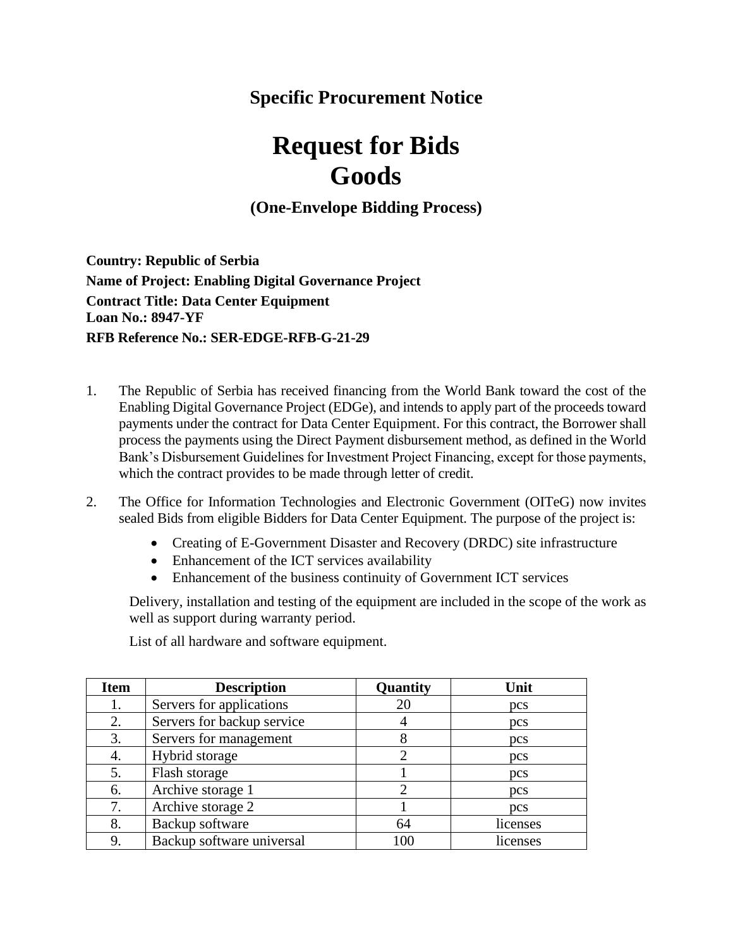## **Specific Procurement Notice**

## **Request for Bids Goods**

**(One-Envelope Bidding Process)**

**Country: Republic of Serbia Name of Project: Enabling Digital Governance Project Contract Title: Data Center Equipment Loan No.: 8947-YF RFB Reference No.: SER-EDGE-RFB-G-21-29**

- 1. The Republic of Serbia has received financing from the World Bank toward the cost of the Enabling Digital Governance Project (EDGe), and intends to apply part of the proceeds toward payments under the contract for Data Center Equipment. For this contract, the Borrower shall process the payments using the Direct Payment disbursement method, as defined in the World Bank's Disbursement Guidelines for Investment Project Financing, except for those payments, which the contract provides to be made through letter of credit.
- 2. The Office for Information Technologies and Electronic Government (OITeG) now invites sealed Bids from eligible Bidders for Data Center Equipment. The purpose of the project is:
	- Creating of E-Government Disaster and Recovery (DRDC) site infrastructure
	- Enhancement of the ICT services availability
	- Enhancement of the business continuity of Government ICT services

Delivery, installation and testing of the equipment are included in the scope of the work as well as support during warranty period.

List of all hardware and software equipment.

| <b>Item</b> | <b>Description</b>         | Quantity | Unit       |
|-------------|----------------------------|----------|------------|
| 1.          | Servers for applications   | 20       | pcs        |
| 2.          | Servers for backup service |          | pcs        |
| 3.          | Servers for management     | 8        | pcs        |
| 4.          | Hybrid storage             |          | pcs        |
| 5.          | Flash storage              |          | pcs        |
| 6.          | Archive storage 1          | 2        | <b>pcs</b> |
| 7.          | Archive storage 2          |          | pcs        |
| 8.          | Backup software            | 64       | licenses   |
| 9.          | Backup software universal  | 100      | licenses   |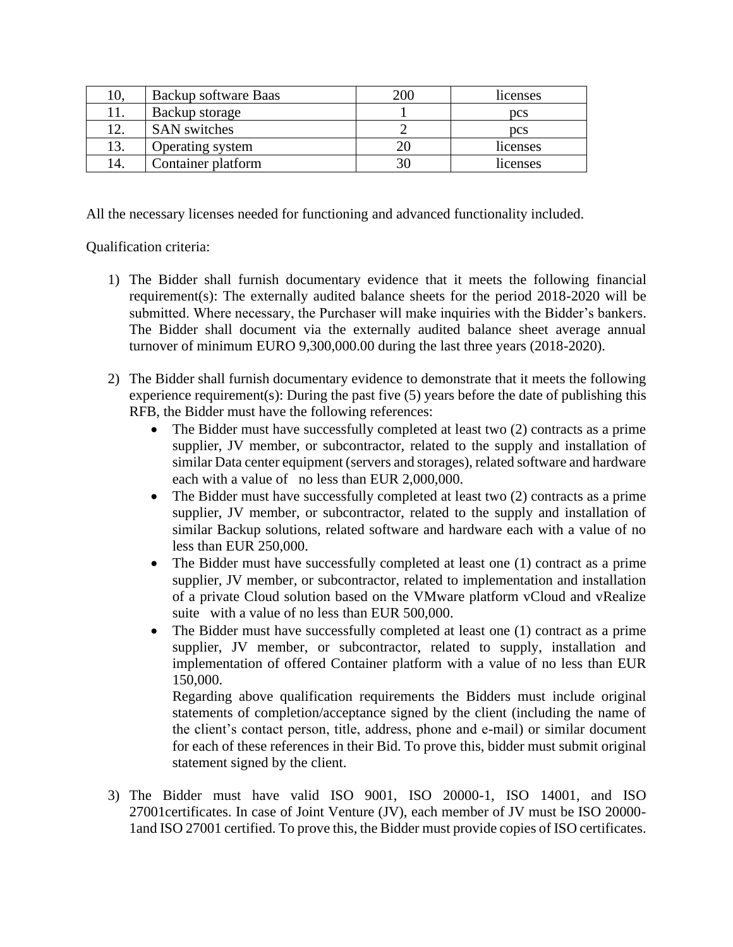| LO. | Backup software Baas | 200 | licenses   |
|-----|----------------------|-----|------------|
|     | Backup storage       |     | <b>pcs</b> |
| ∣າ  | <b>SAN</b> switches  |     | <b>pcs</b> |
| 13. | Operating system     |     | licenses   |
| 14. | Container platform   |     | licenses   |

All the necessary licenses needed for functioning and advanced functionality included.

Qualification criteria:

- 1) The Bidder shall furnish documentary evidence that it meets the following financial requirement(s): The externally audited balance sheets for the period 2018-2020 will be submitted. Where necessary, the Purchaser will make inquiries with the Bidder's bankers. The Bidder shall document via the externally audited balance sheet average annual turnover of minimum EURO 9,300,000.00 during the last three years (2018-2020).
- 2) The Bidder shall furnish documentary evidence to demonstrate that it meets the following experience requirement(s): During the past five (5) years before the date of publishing this RFB, the Bidder must have the following references:
	- The Bidder must have successfully completed at least two (2) contracts as a prime supplier, JV member, or subcontractor, related to the supply and installation of similar Data center equipment (servers and storages), related software and hardware each with a value of no less than EUR 2,000,000.
	- The Bidder must have successfully completed at least two (2) contracts as a prime supplier, JV member, or subcontractor, related to the supply and installation of similar Backup solutions, related software and hardware each with a value of no less than EUR 250,000.
	- The Bidder must have successfully completed at least one (1) contract as a prime supplier, JV member, or subcontractor, related to implementation and installation of a private Cloud solution based on the VMware platform vCloud and vRealize suite with a value of no less than EUR 500,000.
	- The Bidder must have successfully completed at least one (1) contract as a prime supplier, JV member, or subcontractor, related to supply, installation and implementation of offered Container platform with a value of no less than EUR 150,000.

Regarding above qualification requirements the Bidders must include original statements of completion/acceptance signed by the client (including the name of the client's contact person, title, address, phone and e-mail) or similar document for each of these references in their Bid. To prove this, bidder must submit original statement signed by the client.

3) The Bidder must have valid ISO 9001, ISO 20000-1, ISO 14001, and ISO 27001certificates. In case of Joint Venture (JV), each member of JV must be ISO 20000- 1and ISO 27001 certified. To prove this, the Bidder must provide copies of ISO certificates.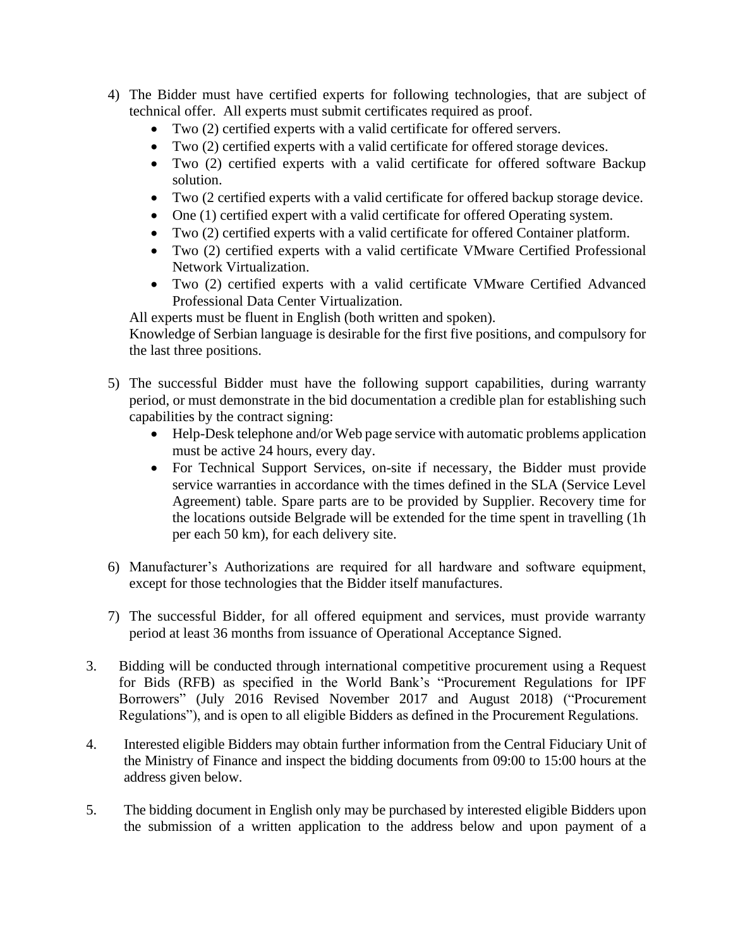- 4) The Bidder must have certified experts for following technologies, that are subject of technical offer. All experts must submit certificates required as proof.
	- Two (2) certified experts with a valid certificate for offered servers.
	- Two (2) certified experts with a valid certificate for offered storage devices.
	- Two (2) certified experts with a valid certificate for offered software Backup solution.
	- Two (2 certified experts with a valid certificate for offered backup storage device.
	- One (1) certified expert with a valid certificate for offered Operating system.
	- Two (2) certified experts with a valid certificate for offered Container platform.
	- Two (2) certified experts with a valid certificate VMware Certified Professional Network Virtualization.
	- Two (2) certified experts with a valid certificate VMware Certified Advanced Professional Data Center Virtualization.

All experts must be fluent in English (both written and spoken).

Knowledge of Serbian language is desirable for the first five positions, and compulsory for the last three positions.

- 5) The successful Bidder must have the following support capabilities, during warranty period, or must demonstrate in the bid documentation a credible plan for establishing such capabilities by the contract signing:
	- Help-Desk telephone and/or Web page service with automatic problems application must be active 24 hours, every day.
	- For Technical Support Services, on-site if necessary, the Bidder must provide service warranties in accordance with the times defined in the SLA (Service Level Agreement) table. Spare parts are to be provided by Supplier. Recovery time for the locations outside Belgrade will be extended for the time spent in travelling (1h per each 50 km), for each delivery site.
- 6) Manufacturer's Authorizations are required for all hardware and software equipment, except for those technologies that the Bidder itself manufactures.
- 7) The successful Bidder, for all offered equipment and services, must provide warranty period at least 36 months from issuance of Operational Acceptance Signed.
- 3. Bidding will be conducted through international competitive procurement using a Request for Bids (RFB) as specified in the World Bank's "Procurement Regulations for IPF Borrowers" (July 2016 Revised November 2017 and August 2018) ("Procurement Regulations"), and is open to all eligible Bidders as defined in the Procurement Regulations.
- 4. Interested eligible Bidders may obtain further information from the Central Fiduciary Unit of the Ministry of Finance and inspect the bidding documents from 09:00 to 15:00 hours at the address given below.
- 5. The bidding document in English only may be purchased by interested eligible Bidders upon the submission of a written application to the address below and upon payment of a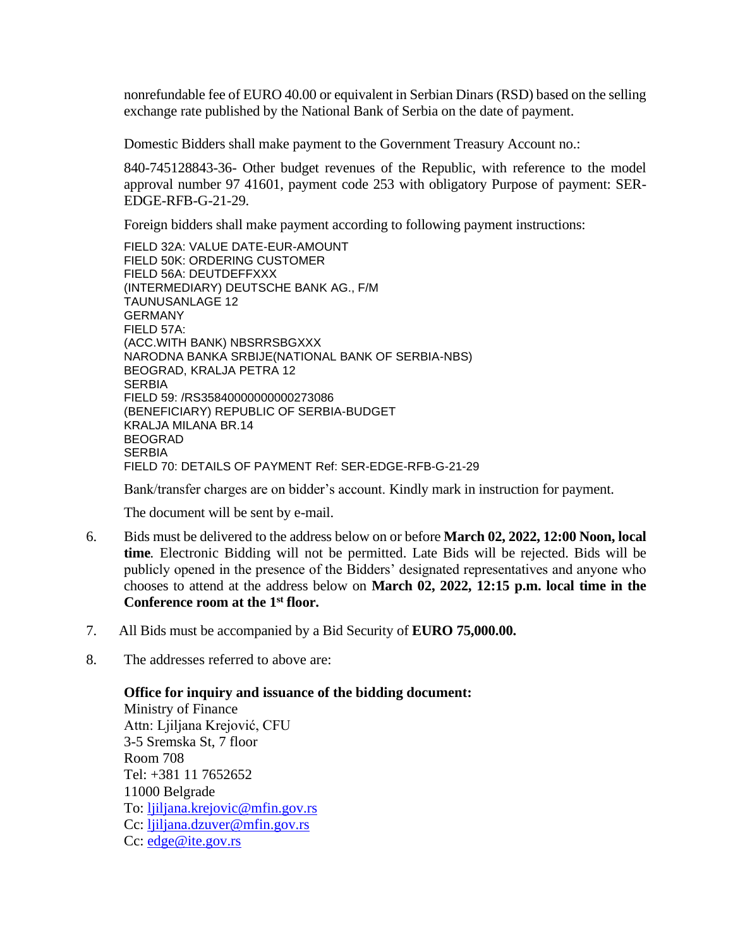nonrefundable fee of EURO 40.00 or equivalent in Serbian Dinars (RSD) based on the selling exchange rate published by the National Bank of Serbia on the date of payment.

Domestic Bidders shall make payment to the Government Treasury Account no.:

840-745128843-36- Other budget revenues of the Republic, with reference to the model approval number 97 41601, payment code 253 with obligatory Purpose of payment: SER-EDGE-RFB-G-21-29.

Foreign bidders shall make payment according to following payment instructions:

FIELD 32A: VALUE DATE-EUR-AMOUNT FIELD 50K: ORDERING CUSTOMER FIELD 56A: DEUTDEFFXXX (INTERMEDIARY) DEUTSCHE BANK AG., F/M TAUNUSANLAGE 12 GERMANY FIELD 57A: (ACC.WITH BANK) NBSRRSBGXXX NARODNA BANKA SRBIJE(NATIONAL BANK OF SERBIA-NBS) BEOGRAD, KRALJA PETRA 12 **SERBIA** FIELD 59: /RS35840000000000273086 (BENEFICIARY) REPUBLIC OF SERBIA-BUDGET KRALJA MILANA BR.14 BEOGRAD **SERBIA** FIELD 70: DETAILS OF PAYMENT Ref: SER-EDGE-RFB-G-21-29

Bank/transfer charges are on bidder's account. Kindly mark in instruction for payment.

The document will be sent by e-mail.

- 6. Bids must be delivered to the address below on or before **March 02, 2022, 12:00 Noon, local time***.* Electronic Bidding will not be permitted. Late Bids will be rejected. Bids will be publicly opened in the presence of the Bidders' designated representatives and anyone who chooses to attend at the address below on **March 02, 2022, 12:15 p.m. local time in the Conference room at the 1st floor.**
- 7. All Bids must be accompanied by a Bid Security of **EURO 75,000.00.**
- 8. The addresses referred to above are:

**Office for inquiry and issuance of the bidding document:** Ministry of Finance Attn: Ljiljana Krejović, CFU 3-5 Sremska St, 7 floor Room 708 Tel: +381 11 7652652 11000 Belgrade To: [ljiljana.krejovic@mfin.gov.rs](mailto:ljiljana.krejovic@mfin.gov.rs) Cc: [ljiljana.dzuver@mfin.gov.rs](mailto:ljiljana.dzuver@mfin.gov.rs) Cc: [edge@ite.gov.rs](mailto:edge@ite.gov.rs)